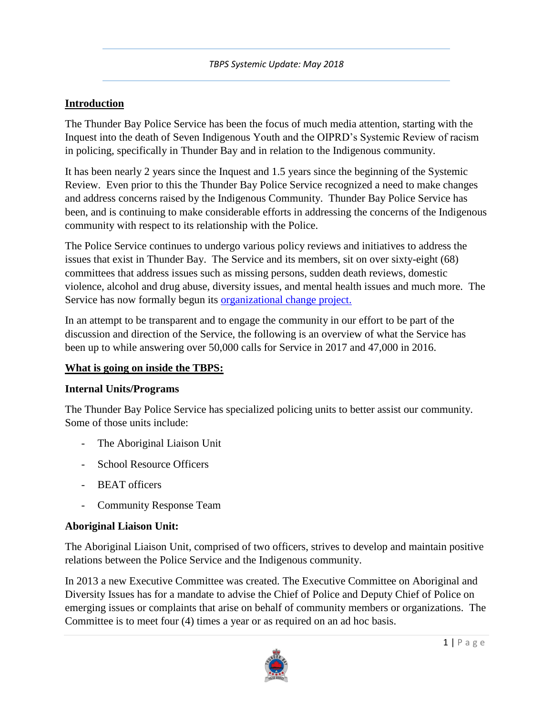## **Introduction**

The Thunder Bay Police Service has been the focus of much media attention, starting with the Inquest into the death of Seven Indigenous Youth and the OIPRD's Systemic Review of racism in policing, specifically in Thunder Bay and in relation to the Indigenous community.

It has been nearly 2 years since the Inquest and 1.5 years since the beginning of the Systemic Review. Even prior to this the Thunder Bay Police Service recognized a need to make changes and address concerns raised by the Indigenous Community. Thunder Bay Police Service has been, and is continuing to make considerable efforts in addressing the concerns of the Indigenous community with respect to its relationship with the Police.

The Police Service continues to undergo various policy reviews and initiatives to address the issues that exist in Thunder Bay. The Service and its members, sit on over sixty-eight (68) committees that address issues such as missing persons, sudden death reviews, domestic violence, alcohol and drug abuse, diversity issues, and mental health issues and much more. The Service has now formally begun its [organizational change project.](https://www.thunderbaypolice.ca/shaping-our-future)

In an attempt to be transparent and to engage the community in our effort to be part of the discussion and direction of the Service, the following is an overview of what the Service has been up to while answering over 50,000 calls for Service in 2017 and 47,000 in 2016.

# **What is going on inside the TBPS:**

### **Internal Units/Programs**

The Thunder Bay Police Service has specialized policing units to better assist our community. Some of those units include:

- The Aboriginal Liaison Unit
- School Resource Officers
- BEAT officers
- Community Response Team

# **Aboriginal Liaison Unit:**

The Aboriginal Liaison Unit, comprised of two officers, strives to develop and maintain positive relations between the Police Service and the Indigenous community.

In 2013 a new Executive Committee was created. The Executive Committee on Aboriginal and Diversity Issues has for a mandate to advise the Chief of Police and Deputy Chief of Police on emerging issues or complaints that arise on behalf of community members or organizations. The Committee is to meet four (4) times a year or as required on an ad hoc basis.

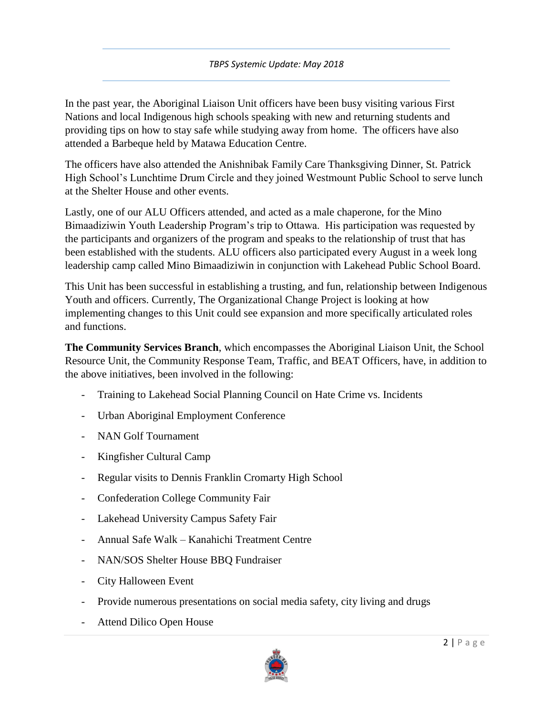In the past year, the Aboriginal Liaison Unit officers have been busy visiting various First Nations and local Indigenous high schools speaking with new and returning students and providing tips on how to stay safe while studying away from home. The officers have also attended a Barbeque held by Matawa Education Centre.

The officers have also attended the Anishnibak Family Care Thanksgiving Dinner, St. Patrick High School's Lunchtime Drum Circle and they joined Westmount Public School to serve lunch at the Shelter House and other events.

Lastly, one of our ALU Officers attended, and acted as a male chaperone, for the Mino Bimaadiziwin Youth Leadership Program's trip to Ottawa. His participation was requested by the participants and organizers of the program and speaks to the relationship of trust that has been established with the students. ALU officers also participated every August in a week long leadership camp called Mino Bimaadiziwin in conjunction with Lakehead Public School Board.

This Unit has been successful in establishing a trusting, and fun, relationship between Indigenous Youth and officers. Currently, The Organizational Change Project is looking at how implementing changes to this Unit could see expansion and more specifically articulated roles and functions.

**The Community Services Branch**, which encompasses the Aboriginal Liaison Unit, the School Resource Unit, the Community Response Team, Traffic, and BEAT Officers, have, in addition to the above initiatives, been involved in the following:

- Training to Lakehead Social Planning Council on Hate Crime vs. Incidents
- Urban Aboriginal Employment Conference
- NAN Golf Tournament
- Kingfisher Cultural Camp
- Regular visits to Dennis Franklin Cromarty High School
- Confederation College Community Fair
- Lakehead University Campus Safety Fair
- Annual Safe Walk Kanahichi Treatment Centre
- NAN/SOS Shelter House BBQ Fundraiser
- City Halloween Event
- Provide numerous presentations on social media safety, city living and drugs
- Attend Dilico Open House

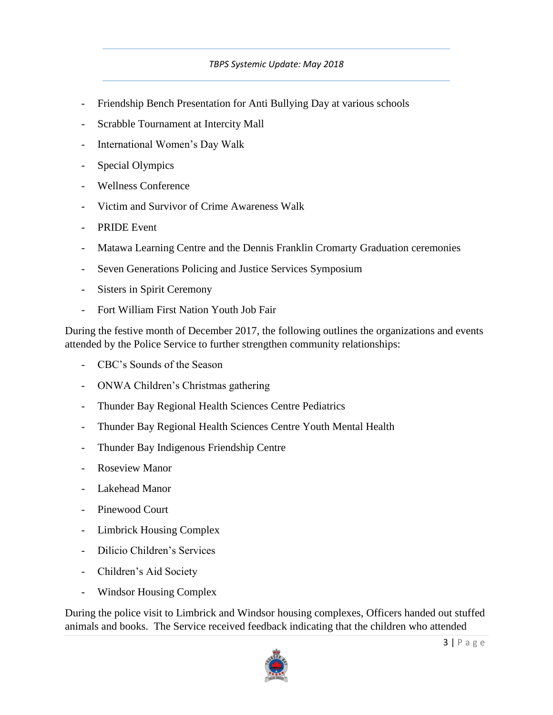- Friendship Bench Presentation for Anti Bullying Day at various schools
- Scrabble Tournament at Intercity Mall
- International Women's Day Walk
- Special Olympics
- Wellness Conference
- Victim and Survivor of Crime Awareness Walk
- PRIDE Event
- Matawa Learning Centre and the Dennis Franklin Cromarty Graduation ceremonies
- Seven Generations Policing and Justice Services Symposium
- Sisters in Spirit Ceremony
- Fort William First Nation Youth Job Fair

During the festive month of December 2017, the following outlines the organizations and events attended by the Police Service to further strengthen community relationships:

- CBC's Sounds of the Season
- ONWA Children's Christmas gathering
- Thunder Bay Regional Health Sciences Centre Pediatrics
- Thunder Bay Regional Health Sciences Centre Youth Mental Health
- Thunder Bay Indigenous Friendship Centre
- Roseview Manor
- Lakehead Manor
- Pinewood Court
- Limbrick Housing Complex
- Dilicio Children's Services
- Children's Aid Society
- Windsor Housing Complex

During the police visit to Limbrick and Windsor housing complexes, Officers handed out stuffed animals and books. The Service received feedback indicating that the children who attended

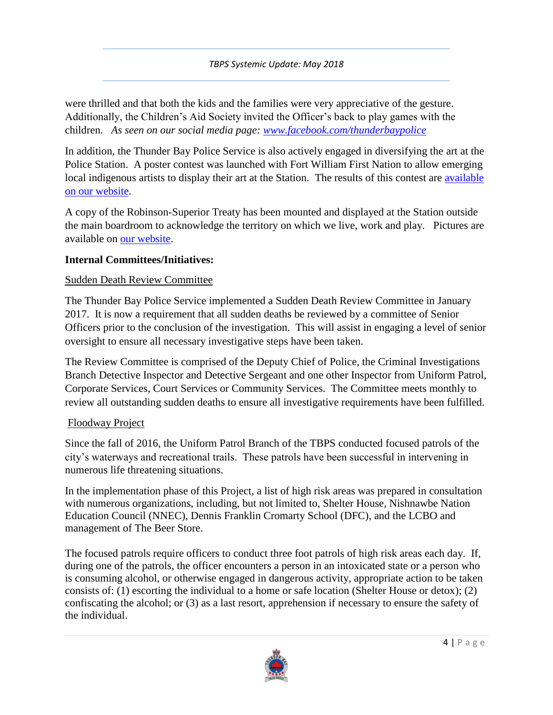were thrilled and that both the kids and the families were very appreciative of the gesture. Additionally, the Children's Aid Society invited the Officer's back to play games with the children. *As seen on our social media page: [www.facebook.com/thunderbaypolice](http://www.facebook.com/thunderbaypolice)*

In addition, the Thunder Bay Police Service is also actively engaged in diversifying the art at the Police Station. A poster contest was launched with Fort William First Nation to allow emerging local indigenous artists to display their art at the Station. The results of this contest are [available](https://www.thunderbaypolice.ca/artists)  [on our website.](https://www.thunderbaypolice.ca/artists)

A copy of the Robinson-Superior Treaty has been mounted and displayed at the Station outside the main boardroom to acknowledge the territory on which we live, work and play. Pictures are available on [our website.](https://www.thunderbaypolice.ca/sites/default/files/pictures/Higher%20version.jpg)

### **Internal Committees/Initiatives:**

## Sudden Death Review Committee

The Thunder Bay Police Service implemented a Sudden Death Review Committee in January 2017. It is now a requirement that all sudden deaths be reviewed by a committee of Senior Officers prior to the conclusion of the investigation. This will assist in engaging a level of senior oversight to ensure all necessary investigative steps have been taken.

The Review Committee is comprised of the Deputy Chief of Police, the Criminal Investigations Branch Detective Inspector and Detective Sergeant and one other Inspector from Uniform Patrol, Corporate Services, Court Services or Community Services. The Committee meets monthly to review all outstanding sudden deaths to ensure all investigative requirements have been fulfilled.

# Floodway Project

Since the fall of 2016, the Uniform Patrol Branch of the TBPS conducted focused patrols of the city's waterways and recreational trails. These patrols have been successful in intervening in numerous life threatening situations.

In the implementation phase of this Project, a list of high risk areas was prepared in consultation with numerous organizations, including, but not limited to, Shelter House, Nishnawbe Nation Education Council (NNEC), Dennis Franklin Cromarty School (DFC), and the LCBO and management of The Beer Store.

The focused patrols require officers to conduct three foot patrols of high risk areas each day. If, during one of the patrols, the officer encounters a person in an intoxicated state or a person who is consuming alcohol, or otherwise engaged in dangerous activity, appropriate action to be taken consists of: (1) escorting the individual to a home or safe location (Shelter House or detox); (2) confiscating the alcohol; or (3) as a last resort, apprehension if necessary to ensure the safety of the individual.

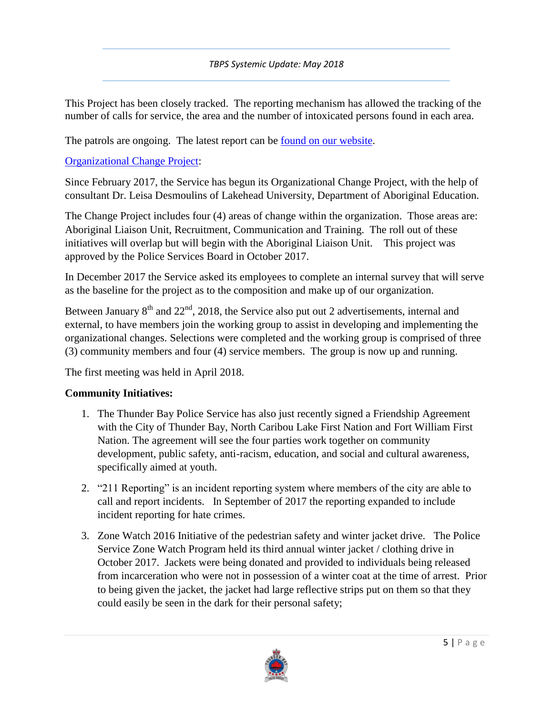This Project has been closely tracked. The reporting mechanism has allowed the tracking of the number of calls for service, the area and the number of intoxicated persons found in each area.

The patrols are ongoing. The latest report can be <u>found on our website</u>.

[Organizational Change Project:](https://www.thunderbaypolice.ca/Breaking-Barriers)

Since February 2017, the Service has begun its Organizational Change Project, with the help of consultant Dr. Leisa Desmoulins of Lakehead University, Department of Aboriginal Education.

The Change Project includes four (4) areas of change within the organization. Those areas are: Aboriginal Liaison Unit, Recruitment, Communication and Training. The roll out of these initiatives will overlap but will begin with the Aboriginal Liaison Unit. This project was approved by the Police Services Board in October 2017.

In December 2017 the Service asked its employees to complete an internal survey that will serve as the baseline for the project as to the composition and make up of our organization.

Between January  $8<sup>th</sup>$  and  $22<sup>nd</sup>$ , 2018, the Service also put out 2 advertisements, internal and external, to have members join the working group to assist in developing and implementing the organizational changes. Selections were completed and the working group is comprised of three (3) community members and four (4) service members. The group is now up and running.

The first meeting was held in April 2018.

# **Community Initiatives:**

- 1. The Thunder Bay Police Service has also just recently signed a Friendship Agreement with the City of Thunder Bay, North Caribou Lake First Nation and Fort William First Nation. The agreement will see the four parties work together on community development, public safety, anti-racism, education, and social and cultural awareness, specifically aimed at youth.
- 2. "211 Reporting" is an incident reporting system where members of the city are able to call and report incidents. In September of 2017 the reporting expanded to include incident reporting for hate crimes.
- 3. Zone Watch 2016 Initiative of the pedestrian safety and winter jacket drive. The Police Service Zone Watch Program held its third annual winter jacket / clothing drive in October 2017. Jackets were being donated and provided to individuals being released from incarceration who were not in possession of a winter coat at the time of arrest. Prior to being given the jacket, the jacket had large reflective strips put on them so that they could easily be seen in the dark for their personal safety;

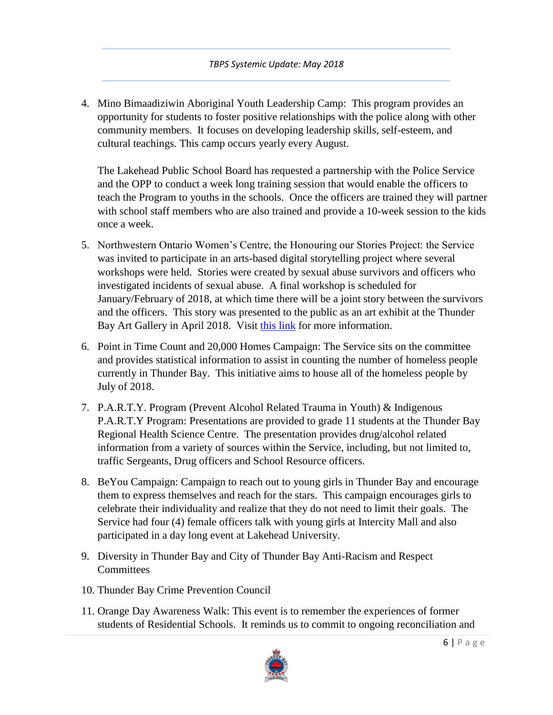4. Mino Bimaadiziwin Aboriginal Youth Leadership Camp: This program provides an opportunity for students to foster positive relationships with the police along with other community members. It focuses on developing leadership skills, self-esteem, and cultural teachings. This camp occurs yearly every August.

The Lakehead Public School Board has requested a partnership with the Police Service and the OPP to conduct a week long training session that would enable the officers to teach the Program to youths in the schools. Once the officers are trained they will partner with school staff members who are also trained and provide a 10-week session to the kids once a week.

- 5. Northwestern Ontario Women's Centre, the Honouring our Stories Project: the Service was invited to participate in an arts-based digital storytelling project where several workshops were held. Stories were created by sexual abuse survivors and officers who investigated incidents of sexual abuse. A final workshop is scheduled for January/February of 2018, at which time there will be a joint story between the survivors and the officers. This story was presented to the public as an art exhibit at the Thunder Bay Art Gallery in April 2018. Visit [this link](http://www.nwowomenscentre.org/honouring-our-stories) for more information.
- 6. Point in Time Count and 20,000 Homes Campaign: The Service sits on the committee and provides statistical information to assist in counting the number of homeless people currently in Thunder Bay. This initiative aims to house all of the homeless people by July of 2018.
- 7. P.A.R.T.Y. Program (Prevent Alcohol Related Trauma in Youth) & Indigenous P.A.R.T.Y Program: Presentations are provided to grade 11 students at the Thunder Bay Regional Health Science Centre. The presentation provides drug/alcohol related information from a variety of sources within the Service, including, but not limited to, traffic Sergeants, Drug officers and School Resource officers.
- 8. BeYou Campaign: Campaign to reach out to young girls in Thunder Bay and encourage them to express themselves and reach for the stars. This campaign encourages girls to celebrate their individuality and realize that they do not need to limit their goals. The Service had four (4) female officers talk with young girls at Intercity Mall and also participated in a day long event at Lakehead University.
- 9. Diversity in Thunder Bay and City of Thunder Bay Anti-Racism and Respect **Committees**
- 10. Thunder Bay Crime Prevention Council
- 11. Orange Day Awareness Walk: This event is to remember the experiences of former students of Residential Schools. It reminds us to commit to ongoing reconciliation and

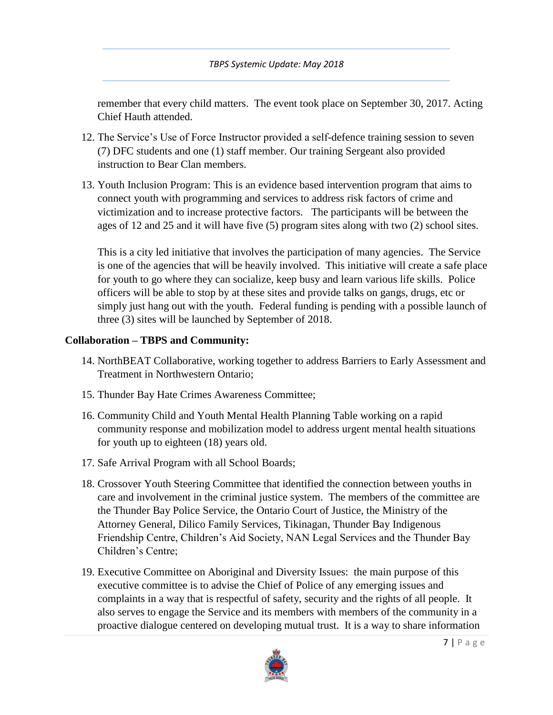remember that every child matters. The event took place on September 30, 2017. Acting Chief Hauth attended.

- 12. The Service's Use of Force Instructor provided a self-defence training session to seven (7) DFC students and one (1) staff member. Our training Sergeant also provided instruction to Bear Clan members.
- 13. Youth Inclusion Program: This is an evidence based intervention program that aims to connect youth with programming and services to address risk factors of crime and victimization and to increase protective factors. The participants will be between the ages of 12 and 25 and it will have five (5) program sites along with two (2) school sites.

This is a city led initiative that involves the participation of many agencies. The Service is one of the agencies that will be heavily involved. This initiative will create a safe place for youth to go where they can socialize, keep busy and learn various life skills. Police officers will be able to stop by at these sites and provide talks on gangs, drugs, etc or simply just hang out with the youth. Federal funding is pending with a possible launch of three (3) sites will be launched by September of 2018.

# **Collaboration – TBPS and Community:**

- 14. NorthBEAT Collaborative, working together to address Barriers to Early Assessment and Treatment in Northwestern Ontario;
- 15. Thunder Bay Hate Crimes Awareness Committee;
- 16. Community Child and Youth Mental Health Planning Table working on a rapid community response and mobilization model to address urgent mental health situations for youth up to eighteen (18) years old.
- 17. Safe Arrival Program with all School Boards;
- 18. Crossover Youth Steering Committee that identified the connection between youths in care and involvement in the criminal justice system. The members of the committee are the Thunder Bay Police Service, the Ontario Court of Justice, the Ministry of the Attorney General, Dilico Family Services, Tikinagan, Thunder Bay Indigenous Friendship Centre, Children's Aid Society, NAN Legal Services and the Thunder Bay Children's Centre;
- 19. Executive Committee on Aboriginal and Diversity Issues: the main purpose of this executive committee is to advise the Chief of Police of any emerging issues and complaints in a way that is respectful of safety, security and the rights of all people. It also serves to engage the Service and its members with members of the community in a proactive dialogue centered on developing mutual trust. It is a way to share information

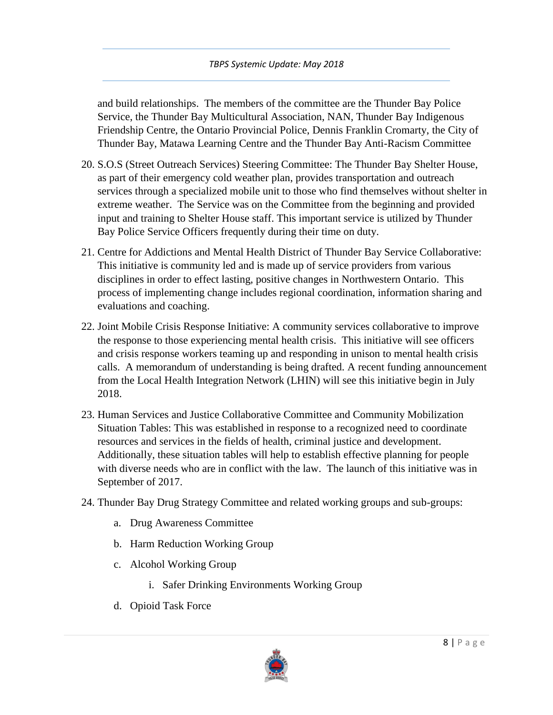and build relationships. The members of the committee are the Thunder Bay Police Service, the Thunder Bay Multicultural Association, NAN, Thunder Bay Indigenous Friendship Centre, the Ontario Provincial Police, Dennis Franklin Cromarty, the City of Thunder Bay, Matawa Learning Centre and the Thunder Bay Anti-Racism Committee

- 20. S.O.S (Street Outreach Services) Steering Committee: The Thunder Bay Shelter House, as part of their emergency cold weather plan, provides transportation and outreach services through a specialized mobile unit to those who find themselves without shelter in extreme weather. The Service was on the Committee from the beginning and provided input and training to Shelter House staff. This important service is utilized by Thunder Bay Police Service Officers frequently during their time on duty.
- 21. Centre for Addictions and Mental Health District of Thunder Bay Service Collaborative: This initiative is community led and is made up of service providers from various disciplines in order to effect lasting, positive changes in Northwestern Ontario. This process of implementing change includes regional coordination, information sharing and evaluations and coaching.
- 22. Joint Mobile Crisis Response Initiative: A community services collaborative to improve the response to those experiencing mental health crisis. This initiative will see officers and crisis response workers teaming up and responding in unison to mental health crisis calls. A memorandum of understanding is being drafted. A recent funding announcement from the Local Health Integration Network (LHIN) will see this initiative begin in July 2018.
- 23. Human Services and Justice Collaborative Committee and Community Mobilization Situation Tables: This was established in response to a recognized need to coordinate resources and services in the fields of health, criminal justice and development. Additionally, these situation tables will help to establish effective planning for people with diverse needs who are in conflict with the law. The launch of this initiative was in September of 2017.
- 24. Thunder Bay Drug Strategy Committee and related working groups and sub-groups:
	- a. Drug Awareness Committee
	- b. Harm Reduction Working Group
	- c. Alcohol Working Group
		- i. Safer Drinking Environments Working Group
	- d. Opioid Task Force

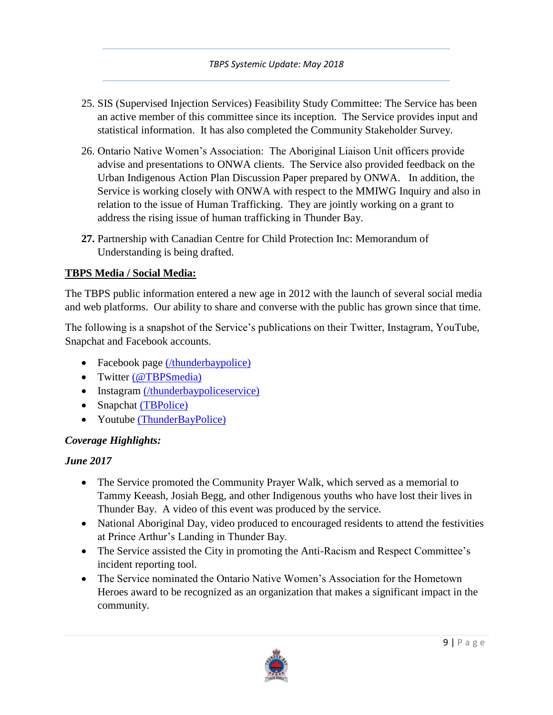- 25. SIS (Supervised Injection Services) Feasibility Study Committee: The Service has been an active member of this committee since its inception. The Service provides input and statistical information. It has also completed the Community Stakeholder Survey.
- 26. Ontario Native Women's Association: The Aboriginal Liaison Unit officers provide advise and presentations to ONWA clients. The Service also provided feedback on the Urban Indigenous Action Plan Discussion Paper prepared by ONWA. In addition, the Service is working closely with ONWA with respect to the MMIWG Inquiry and also in relation to the issue of Human Trafficking. They are jointly working on a grant to address the rising issue of human trafficking in Thunder Bay.
- **27.** Partnership with Canadian Centre for Child Protection Inc: Memorandum of Understanding is being drafted.

## **TBPS Media / Social Media:**

The TBPS public information entered a new age in 2012 with the launch of several social media and web platforms. Our ability to share and converse with the public has grown since that time.

The following is a snapshot of the Service's publications on their Twitter, Instagram, YouTube, Snapchat and Facebook accounts.

- Facebook page [\(/thunderbaypolice\)](https://www.facebook.com/thunderbaypolice/)
- Twitter [\(@TBPSmedia\)](https://twitter.com/tbpsmedia)
- Instagram [\(/thunderbaypoliceservice\)](https://www.instagram.com/thunderbaypoliceservice/)
- Snapchat [\(TBPolice\)](https://www.snapchat.com/add/tbpolice)
- Youtube [\(ThunderBayPolice\)](https://www.youtube.com/channel/UCjpDJkGSkqB3uWrRFQSf_rg?view_as=subscriber)

# *Coverage Highlights:*

### *June 2017*

- The Service promoted the Community Prayer Walk, which served as a memorial to Tammy Keeash, Josiah Begg, and other Indigenous youths who have lost their lives in Thunder Bay. A video of this event was produced by the service.
- National Aboriginal Day, video produced to encouraged residents to attend the festivities at Prince Arthur's Landing in Thunder Bay.
- The Service assisted the City in promoting the Anti-Racism and Respect Committee's incident reporting tool.
- The Service nominated the Ontario Native Women's Association for the Hometown Heroes award to be recognized as an organization that makes a significant impact in the community.

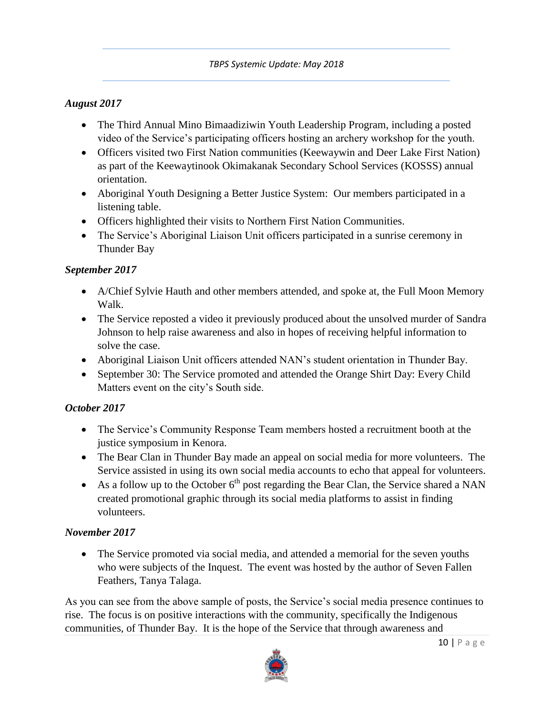## *August 2017*

- The Third Annual Mino Bimaadiziwin Youth Leadership Program, including a posted video of the Service's participating officers hosting an archery workshop for the youth.
- Officers visited two First Nation communities (Keewaywin and Deer Lake First Nation) as part of the Keewaytinook Okimakanak Secondary School Services (KOSSS) annual orientation.
- Aboriginal Youth Designing a Better Justice System: Our members participated in a listening table.
- Officers highlighted their visits to Northern First Nation Communities.
- The Service's Aboriginal Liaison Unit officers participated in a sunrise ceremony in Thunder Bay

## *September 2017*

- A/Chief Sylvie Hauth and other members attended, and spoke at, the Full Moon Memory Walk.
- The Service reposted a video it previously produced about the unsolved murder of Sandra Johnson to help raise awareness and also in hopes of receiving helpful information to solve the case.
- Aboriginal Liaison Unit officers attended NAN's student orientation in Thunder Bay.
- September 30: The Service promoted and attended the Orange Shirt Day: Every Child Matters event on the city's South side.

### *October 2017*

- The Service's Community Response Team members hosted a recruitment booth at the justice symposium in Kenora.
- The Bear Clan in Thunder Bay made an appeal on social media for more volunteers. The Service assisted in using its own social media accounts to echo that appeal for volunteers.
- As a follow up to the October  $6<sup>th</sup>$  post regarding the Bear Clan, the Service shared a NAN created promotional graphic through its social media platforms to assist in finding volunteers.

### *November 2017*

 The Service promoted via social media, and attended a memorial for the seven youths who were subjects of the Inquest. The event was hosted by the author of Seven Fallen Feathers, Tanya Talaga.

As you can see from the above sample of posts, the Service's social media presence continues to rise. The focus is on positive interactions with the community, specifically the Indigenous communities, of Thunder Bay. It is the hope of the Service that through awareness and